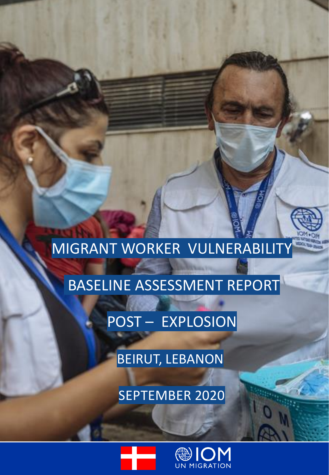# MIGRANT WORKER VULNERABILITY

# BASELINE ASSESSMENT REPORT

POST – EXPLOSION

BEIRUT, LEBANON

SEPTEMBER 2020



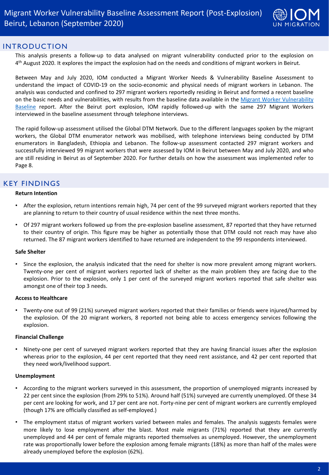

#### INTRODUCTION

This analysis presents a follow-up to data analysed on migrant vulnerability conducted prior to the explosion on 4<sup>th</sup> August 2020. It explores the impact the explosion had on the needs and conditions of migrant workers in Beirut.

Between May and July 2020, IOM conducted a Migrant Worker Needs & Vulnerability Baseline Assessment to understand the impact of COVID-19 on the socio-economic and physical needs of migrant workers in Lebanon. The analysis was conducted and confined to 297 migrant workers reportedly residing in Beirut and formed a recent baseline on the basic needs and [vulnerabilities,](https://migration.iom.int/reports/lebanon%E2%80%94-migrant-worker-vulnerability-baseline-assessment-report-may-july-2020?close=true&covid-page=1) with results from the baseline data available in the Migrant Worker Vulnerability Baseline report. After the Beirut port explosion, IOM rapidly followed-up with the same 297 Migrant Workers interviewed in the baseline assessment through telephone interviews.

The rapid follow-up assessment utilised the Global DTM Network. Due to the different languages spoken by the migrant workers, the Global DTM enumerator network was mobilised, with telephone interviews being conducted by DTM enumerators in Bangladesh, Ethiopia and Lebanon. The follow-up assessment contacted 297 migrant workers and successfully interviewed 99 migrant workers that were assessed by IOM in Beirut between May and July 2020, and who are still residing in Beirut as of September 2020. For further details on how the assessment was implemented refer to Page 8.

# KEY FINDINGS

#### **Return Intention**

- After the explosion, return intentions remain high, 74 per cent of the 99 surveyed migrant workers reported that they are planning to return to their country of usual residence within the next three months.
- Of 297 migrant workers followed up from the pre-explosion baseline assessment, 87 reported that they have returned to their country of origin. This figure may be higher as potentially those that DTM could not reach may have also returned. The 87 migrant workers identified to have returned are independent to the 99 respondents interviewed.

#### **Safe Shelter**

• Since the explosion, the analysis indicated that the need for shelter is now more prevalent among migrant workers. Twenty-one per cent of migrant workers reported lack of shelter as the main problem they are facing due to the explosion. Prior to the explosion, only 1 per cent of the surveyed migrant workers reported that safe shelter was amongst one of their top 3 needs.

#### **Access to Healthcare**

• Twenty-one out of 99 (21%) surveyed migrant workers reported that their families or friends were injured/harmed by the explosion. Of the 20 migrant workers, 8 reported not being able to access emergency services following the explosion.

#### **Financial Challenge**

• Ninety-one per cent of surveyed migrant workers reported that they are having financial issues after the explosion whereas prior to the explosion, 44 per cent reported that they need rent assistance, and 42 per cent reported that they need work/livelihood support.

#### **Unemployment**

- According to the migrant workers surveyed in this assessment, the proportion of unemployed migrants increased by 22 per cent since the explosion (from 29% to 51%). Around half (51%) surveyed are currently unemployed. Of these 34 per cent are looking for work, and 17 per cent are not. Forty-nine per cent of migrant workers are currently employed (though 17% are officially classified as self-employed.)
- The employment status of migrant workers varied between males and females. The analysis suggests females were more likely to lose employment after the blast. Most male migrants (71%) reported that they are currently unemployed and 44 per cent of female migrants reported themselves as unemployed. However, the unemployment rate was proportionally lower before the explosion among female migrants (18%) as more than half of the males were already unemployed before the explosion (62%).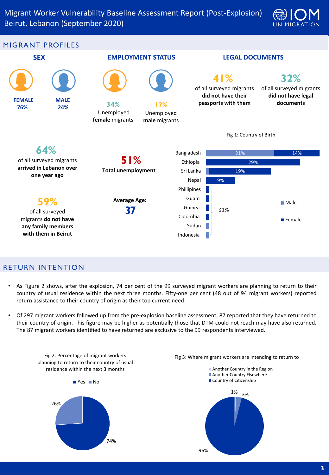



#### RETURN INTENTION

- As Figure 2 shows, after the explosion, 74 per cent of the 99 surveyed migrant workers are planning to return to their country of usual residence within the next three months. Fifty-one per cent (48 out of 94 migrant workers) reported return assistance to their country of origin as their top current need.
- Of 297 migrant workers followed up from the pre-explosion baseline assessment, 87 reported that they have returned to their country of origin. This figure may be higher as potentially those that DTM could not reach may have also returned. The 87 migrant workers identified to have returned are exclusive to the 99 respondents interviewed.

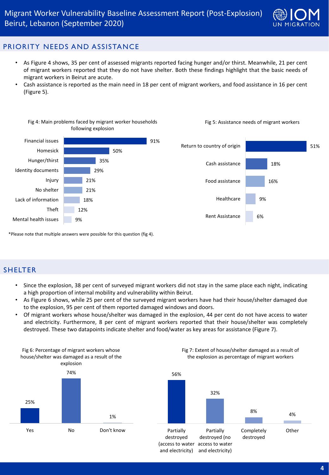

# PRIORITY NEEDS AND ASSISTANCE

- As Figure 4 shows, 35 per cent of assessed migrants reported facing hunger and/or thirst. Meanwhile, 21 per cent of migrant workers reported that they do not have shelter. Both these findings highlight that the basic needs of migrant workers in Beirut are acute.
- Cash assistance is reported as the main need in 18 per cent of migrant workers, and food assistance in 16 per cent (Figure 5).



\*Please note that multiple answers were possible for this question (fig 4).

#### SHELTER

- Since the explosion, 38 per cent of surveyed migrant workers did not stay in the same place each night, indicating a high proportion of internal mobility and vulnerability within Beirut.
- As Figure 6 shows, while 25 per cent of the surveyed migrant workers have had their house/shelter damaged due to the explosion, 95 per cent of them reported damaged windows and doors.
- Of migrant workers whose house/shelter was damaged in the explosion, 44 per cent do not have access to water and electricity. Furthermore, 8 per cent of migrant workers reported that their house/shelter was completely destroyed. These two datapoints indicate shelter and food/water as key areas for assistance (Figure 7).

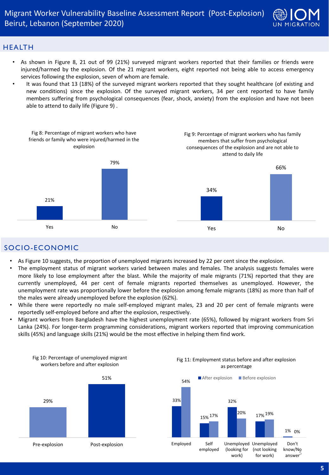

### HEALTH

- As shown in Figure 8, 21 out of 99 (21%) surveyed migrant workers reported that their families or friends were injured/harmed by the explosion. Of the 21 migrant workers, eight reported not being able to access emergency services following the explosion, seven of whom are female.
- It was found that 13 (18%) of the surveyed migrant workers reported that they sought healthcare (of existing and new conditions) since the explosion. Of the surveyed migrant workers, 34 per cent reported to have family members suffering from psychological consequences (fear, shock, anxiety) from the explosion and have not been able to attend to daily life (Figure 9) .



# SOCIO-ECONOMIC

- As Figure 10 suggests, the proportion of unemployed migrants increased by 22 per cent since the explosion.
- The employment status of migrant workers varied between males and females. The analysis suggests females were more likely to lose employment after the blast. While the majority of male migrants (71%) reported that they are currently unemployed, 44 per cent of female migrants reported themselves as unemployed. However, the unemployment rate was proportionally lower before the explosion among female migrants (18%) as more than half of the males were already unemployed before the explosion (62%).
- While there were reportedly no male self-employed migrant males, 23 and 20 per cent of female migrants were reportedly self-employed before and after the explosion, respectively.
- Migrant workers from Bangladesh have the highest unemployment rate (65%), followed by migrant workers from Sri Lanka (24%). For longer-term programming considerations, migrant workers reported that improving communication skills (45%) and language skills (21%) would be the most effective in helping them find work.



Fig 10: Percentage of unemployed migrant





# Fig 11: Employment status before and after explosion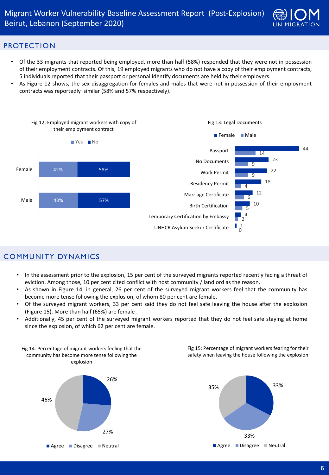

#### PROTECTION

- Of the 33 migrants that reported being employed, more than half (58%) responded that they were not in possession of their employment contracts. Of this, 19 employed migrants who do not have a copy of their employment contracts, 5 individuals reported that their passport or personal identify documents are held by their employers.
- As Figure 12 shows, the sex disaggregation for females and males that were not in possession of their employment contracts was reportedly similar (58% and 57% respectively).



### COMMUNITY DYNAMICS

- In the assessment prior to the explosion, 15 per cent of the surveyed migrants reported recently facing a threat of eviction. Among those, 10 per cent cited conflict with host community / landlord as the reason.
- As shown in Figure 14, in general, 26 per cent of the surveyed migrant workers feel that the community has become more tense following the explosion, of whom 80 per cent are female.
- Of the surveyed migrant workers, 33 per cent said they do not feel safe leaving the house after the explosion (Figure 15). More than half (65%) are female .
- Additionally, 45 per cent of the surveyed migrant workers reported that they do not feel safe staying at home since the explosion, of which 62 per cent are female.

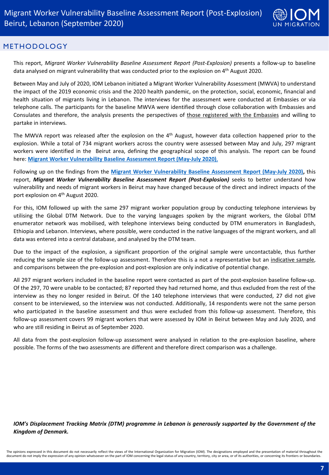

#### METHODOLOGY

This report, *Migrant Worker Vulnerability Baseline Assessment Report (Post-Explosion)* presents a follow-up to baseline data analysed on migrant vulnerability that was conducted prior to the explosion on 4<sup>th</sup> August 2020.

Between May and July of 2020, IOM Lebanon initiated a Migrant Worker Vulnerability Assessment (MWVA) to understand the impact of the 2019 economic crisis and the 2020 health pandemic, on the protection, social, economic, financial and health situation of migrants living in Lebanon. The interviews for the assessment were conducted at Embassies or via telephone calls. The participants for the baseline MWVA were identified through close collaboration with Embassies and Consulates and therefore, the analysis presents the perspectives of those registered with the Embassies and willing to partake in interviews.

The MWVA report was released after the explosion on the 4<sup>th</sup> August, however data collection happened prior to the explosion. While a total of 734 migrant workers across the country were assessed between May and July, 297 migrant workers were identified in the Beirut area, defining the geographical scope of this analysis. The report can be found here: **Migrant Worker [Vulnerability](https://migration.iom.int/reports/lebanon%E2%80%94-migrant-worker-vulnerability-baseline-assessment-report-may-july-2020?close=true&covid-page=1) Baseline Assessment Report (May-July 2020)**,

Following up on the findings from the **Migrant Worker [Vulnerability](https://migration.iom.int/reports/lebanon%E2%80%94-migrant-worker-vulnerability-baseline-assessment-report-may-july-2020?close=true&covid-page=1) Baseline Assessment Report (May-July 2020),** this report, *Migrant Worker Vulnerability Baseline Assessment Report (Post-Explosion)* seeks to better understand how vulnerability and needs of migrant workers in Beirut may have changed because of the direct and indirect impacts of the port explosion on 4<sup>th</sup> August 2020.

For this, IOM followed up with the same 297 migrant worker population group by conducting telephone interviews by utilising the Global DTM Network. Due to the varying languages spoken by the migrant workers, the Global DTM enumerator network was mobilised, with telephone interviews being conducted by DTM enumerators in Bangladesh, Ethiopia and Lebanon. Interviews, where possible, were conducted in the native languages of the migrant workers, and all data was entered into a central database, and analysed by the DTM team.

Due to the impact of the explosion, a significant proportion of the original sample were uncontactable, thus further reducing the sample size of the follow-up assessment. Therefore this is a not a representative but an indicative sample, and comparisons between the pre-explosion and post-explosion are only indicative of potential change.

All 297 migrant workers included in the baseline report were contacted as part of the post-explosion baseline follow-up. Of the 297, 70 were unable to be contacted; 87 reported they had returned home, and thus excluded from the rest of the interview as they no longer resided in Beirut. Of the 140 telephone interviews that were conducted, 27 did not give consent to be interviewed, so the interview was not conducted. Additionally, 14 respondents were not the same person who participated in the baseline assessment and thus were excluded from this follow-up assessment. Therefore, this follow-up assessment covers 99 migrant workers that were assessed by IOM in Beirut between May and July 2020, and who are still residing in Beirut as of September 2020.

All data from the post-explosion follow-up assessment were analysed in relation to the pre-explosion baseline, where possible. The forms of the two assessments are different and therefore direct comparison was a challenge.

*IOM's Displacement Tracking Matrix (DTM) programme in Lebanon is generously supported by the Government of the Kingdom of Denmark.*